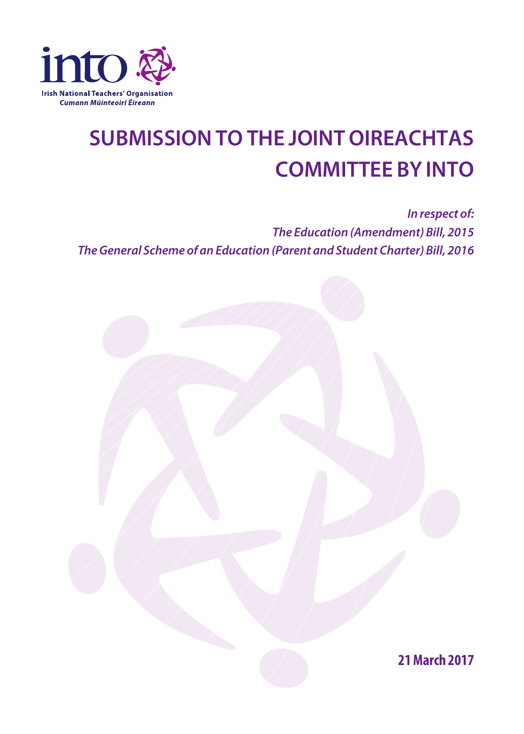

## **SUBMISSIONTO THE JOINT OIREACHTAS COMMITTEE BY INTO**

*In respect of: The Education (Amendment) Bill, 2015 TheGeneral Scheme of an Education (Parent and Student Charter) Bill, 2016*

**21March 2017**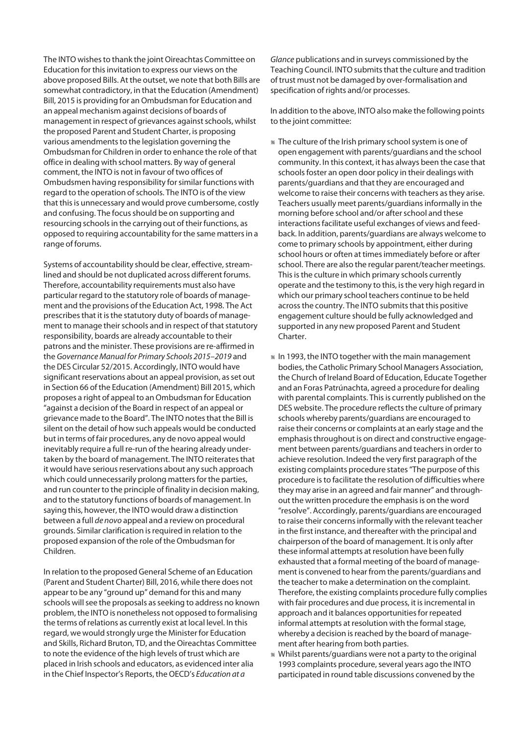The INTO wishes to thank the joint Oireachtas Committee on Education for this invitation to express our views on the above proposed Bills. At the outset, we note that both Bills are somewhat contradictory, in that the Education (Amendment) Bill, 2015 is providing for an Ombudsman for Education and an appeal mechanism against decisions of boards of management in respect of grievances against schools, whilst the proposed Parent and Student Charter, is proposing various amendments to the legislation governing the Ombudsman for Children in order to enhance the role of that office in dealing with school matters. By way of general comment, the INTO is not in favour of two offices of Ombudsmen having responsibility forsimilar functions with regard to the operation of schools. The INTO is of the view that this is unnecessary and would prove cumbersome, costly and confusing. The focus should be on supporting and resourcing schools in the carrying out of their functions, as opposed to requiring accountability for the same mattersin a range of forums.

Systems of accountability should be clear, effective, streamlined and should be not duplicated across different forums. Therefore, accountability requirements must also have particular regard to the statutory role of boards of management and the provisions of the Education Act, 1998. The Act prescribes that it is the statutory duty of boards of management to manage their schools and in respect of that statutory responsibility, boards are already accountable to their patrons and the minister. These provisions are re-affirmed in the *GovernanceManual for Primary Schools 2015–2019* and the DES Circular 52/2015. Accordingly, INTO would have significant reservations about an appeal provision, as set out in Section 66 of the Education (Amendment) Bill 2015, which proposes a right of appeal to anOmbudsman for Education "against a decision of the Board in respect of an appeal or grievance made to the Board". The INTO notes that the Bill is silent on the detail of how such appeals would be conducted but in terms of fair procedures, any de novo appeal would inevitably require a full re-run of the hearing already undertaken by the board of management. The INTO reiterates that it would have serious reservations about any such approach which could unnecessarily prolong matters for the parties, and run counter to the principle of finality in decision making, and to the statutory functions of boards of management. In saying this, however, the INTO would draw a distinction between a full *de novo* appeal and a review on procedural grounds. Similar clarification isrequired in relation to the proposed expansion of the role of theOmbudsman for Children.

In relation to the proposed General Scheme of an Education (Parent and Student Charter) Bill, 2016, while there does not appear to be any "ground up" demand for this and many schools will see the proposals as seeking to address no known problem, the INTO is nonetheless not opposed to formalising the terms of relations as currently exist at local level. In this regard, we would strongly urge the Minister for Education and Skills, Richard Bruton, TD, and the Oireachtas Committee to note the evidence of the high levels of trust which are placed in Irish schools and educators, as evidenced inter alia in the Chief Inspector's Reports, theOECD's *Education at a*

*Glance* publications and in surveys commissioned by the Teaching Council. INTO submits that the culture and tradition of trust must not be damaged by over-formalisation and specification of rights and/or processes.

In addition to the above, INTO also make the following points to the joint committee:

- l The culture of the Irish primary schoolsystem is one of open engagement with parents/guardians and the school community. In this context, it has always been the case that schools foster an open door policy in their dealings with parents/guardians and that they are encouraged and welcome to raise their concerns with teachers as they arise. Teachers usually meet parents/guardiansinformally in the morning before school and/or after school and these interactions facilitate useful exchanges of views and feedback. In addition, parents/guardians are always welcome to come to primary schools by appointment, either during school hours or often at times immediately before or after school. There are also the regular parent/teacher meetings. This is the culture in which primary schools currently operate and the testimony to this, isthe very high regard in which our primary school teachers continue to be held across the country. The INTO submits that this positive engagement culture should be fully acknowledged and supported in any new proposed Parent and Student Charter.
- $*$  In 1993, the INTO together with the main management bodies, the Catholic Primary School Managers Association, the Church of Ireland Board of Education, Educate Together and an Foras Patrúnachta, agreed a procedure for dealing with parental complaints. This is currently published on the DES website. The procedure reflects the culture of primary schools whereby parents/guardians are encouraged to raise their concerns or complaints at an early stage and the emphasisthroughout is on direct and constructive engagement between parents/guardians and teachers in order to achieve resolution. Indeed the very first paragraph of the existing complaints procedure states"The purpose of this procedure isto facilitate the resolution of difficulties where they may arise in an agreed and fair manner" and throughout the written procedure the emphasis is on the word "resolve". Accordingly, parents/guardians are encouraged to raise their concernsinformally with the relevant teacher in the first instance, and thereafter with the principal and chairperson of the board of management. It is only after these informal attempts at resolution have been fully exhausted that a formal meeting of the board of management is convened to hear from the parents/guardians and the teacher to make a determination on the complaint. Therefore, the existing complaints procedure fully complies with fair procedures and due process, it is incremental in approach and it balances opportunities for repeated informal attempts at resolution with the formal stage, whereby a decision is reached by the board of management after hearing from both parties.
- l Whilst parents/guardians were not a party to the original 1993 complaints procedure, several years ago the INTO participated in round table discussions convened by the